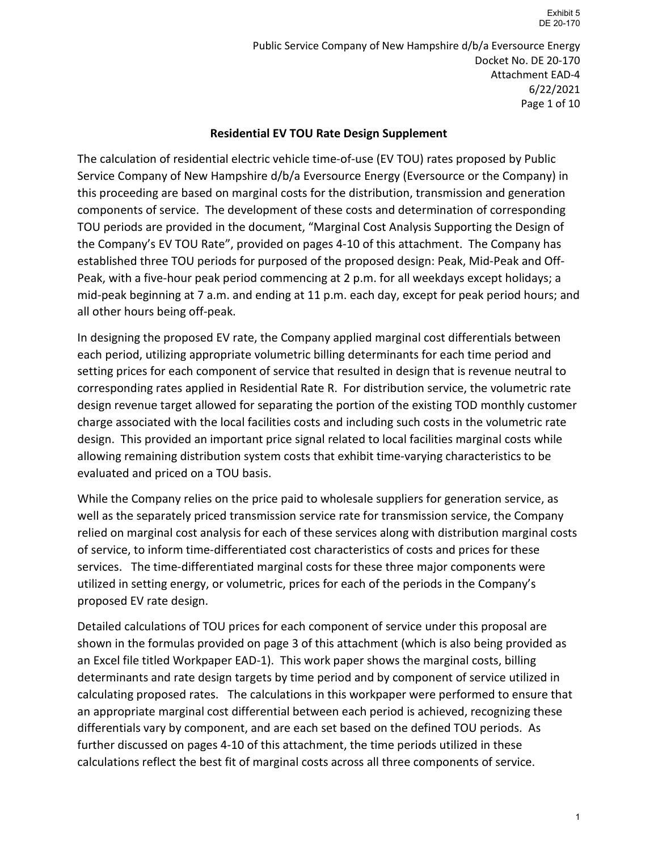Public Service Company of New Hampshire d/b/a Eversource Energy Docket No. DE 20-170 Attachment EAD-4 6/22/2021 Page 1 of 10

### **Residential EV TOU Rate Design Supplement**

The calculation of residential electric vehicle time-of-use (EV TOU) rates proposed by Public Service Company of New Hampshire d/b/a Eversource Energy (Eversource or the Company) in this proceeding are based on marginal costs for the distribution, transmission and generation components of service. The development of these costs and determination of corresponding TOU periods are provided in the document, "Marginal Cost Analysis Supporting the Design of the Company's EV TOU Rate", provided on pages 4-10 of this attachment. The Company has established three TOU periods for purposed of the proposed design: Peak, Mid-Peak and Off-Peak, with a five-hour peak period commencing at 2 p.m. for all weekdays except holidays; a mid-peak beginning at 7 a.m. and ending at 11 p.m. each day, except for peak period hours; and all other hours being off-peak.

In designing the proposed EV rate, the Company applied marginal cost differentials between each period, utilizing appropriate volumetric billing determinants for each time period and setting prices for each component of service that resulted in design that is revenue neutral to corresponding rates applied in Residential Rate R. For distribution service, the volumetric rate design revenue target allowed for separating the portion of the existing TOD monthly customer charge associated with the local facilities costs and including such costs in the volumetric rate design. This provided an important price signal related to local facilities marginal costs while allowing remaining distribution system costs that exhibit time-varying characteristics to be evaluated and priced on a TOU basis.

While the Company relies on the price paid to wholesale suppliers for generation service, as well as the separately priced transmission service rate for transmission service, the Company relied on marginal cost analysis for each of these services along with distribution marginal costs of service, to inform time-differentiated cost characteristics of costs and prices for these services. The time-differentiated marginal costs for these three major components were utilized in setting energy, or volumetric, prices for each of the periods in the Company's proposed EV rate design.

Detailed calculations of TOU prices for each component of service under this proposal are shown in the formulas provided on page 3 of this attachment (which is also being provided as an Excel file titled Workpaper EAD-1). This work paper shows the marginal costs, billing determinants and rate design targets by time period and by component of service utilized in calculating proposed rates. The calculations in this workpaper were performed to ensure that an appropriate marginal cost differential between each period is achieved, recognizing these differentials vary by component, and are each set based on the defined TOU periods. As further discussed on pages 4-10 of this attachment, the time periods utilized in these calculations reflect the best fit of marginal costs across all three components of service.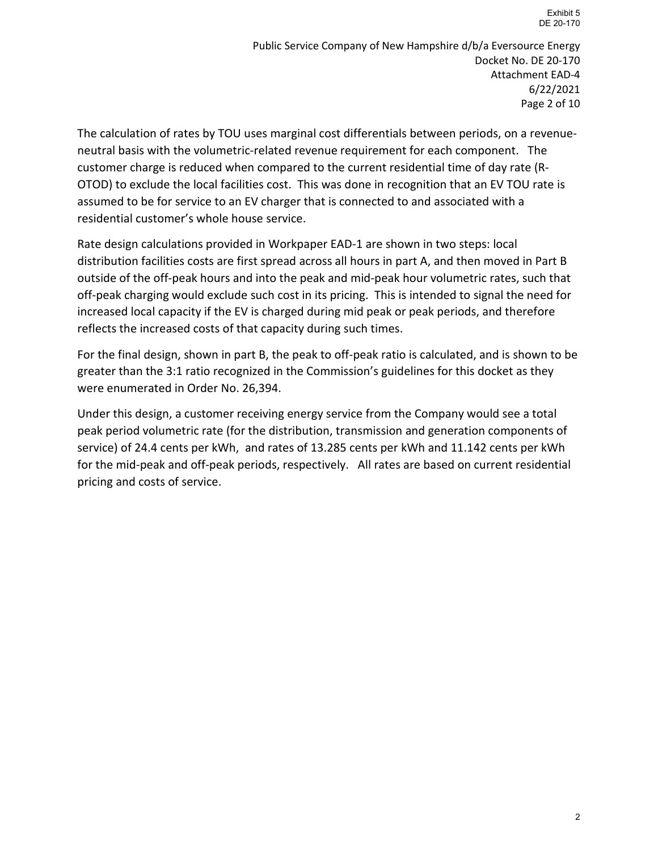Public Service Company of New Hampshire d/b/a Eversource Energy Docket No. DE 20-170 Attachment EAD-4 6/22/2021 Page 2 of 10

The calculation of rates by TOU uses marginal cost differentials between periods, on a revenueneutral basis with the volumetric-related revenue requirement for each component. The customer charge is reduced when compared to the current residential time of day rate (R-OTOD) to exclude the local facilities cost. This was done in recognition that an EV TOU rate is assumed to be for service to an EV charger that is connected to and associated with a residential customer's whole house service.

Rate design calculations provided in Workpaper EAD-1 are shown in two steps: local distribution facilities costs are first spread across all hours in part A, and then moved in Part B outside of the off-peak hours and into the peak and mid-peak hour volumetric rates, such that off-peak charging would exclude such cost in its pricing. This is intended to signal the need for increased local capacity if the EV is charged during mid peak or peak periods, and therefore reflects the increased costs of that capacity during such times.

For the final design, shown in part B, the peak to off-peak ratio is calculated, and is shown to be greater than the 3:1 ratio recognized in the Commission's guidelines for this docket as they were enumerated in Order No. 26,394.

Under this design, a customer receiving energy service from the Company would see a total peak period volumetric rate (for the distribution, transmission and generation components of service) of 24.4 cents per kWh, and rates of 13.285 cents per kWh and 11.142 cents per kWh for the mid-peak and off-peak periods, respectively. All rates are based on current residential pricing and costs of service.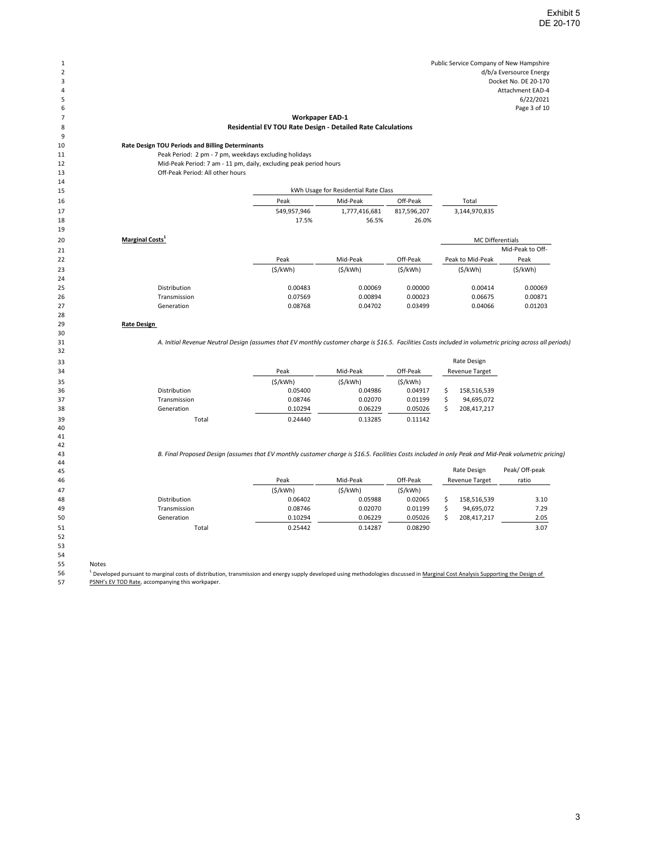### **Workpaper EAD-1**

#### **Residential EV TOU Rate Design - Detailed Rate Calculations**

## **Rate Design TOU Periods and Billing Determinants**

### Peak Period: 2 pm - 7 pm, weekdays excluding holidays

 Mid-Peak Period: 7 am - 11 pm, daily, excluding peak period hours Off-Peak Period: All other hours

| 15 |                             | kWh Usage for Residential Rate Class |               |                         |                  |                  |
|----|-----------------------------|--------------------------------------|---------------|-------------------------|------------------|------------------|
| 16 |                             | Peak                                 | Mid-Peak      | Off-Peak                | Total            |                  |
| 17 |                             | 549,957,946                          | 1,777,416,681 | 817,596,207             | 3,144,970,835    |                  |
| 18 |                             | 17.5%                                | 56.5%         | 26.0%                   |                  |                  |
| 19 |                             |                                      |               |                         |                  |                  |
| 20 | Marginal Costs <sup>1</sup> |                                      |               | <b>MC Differentials</b> |                  |                  |
| 21 |                             |                                      |               |                         |                  | Mid-Peak to Off- |
| 22 |                             | Peak                                 | Mid-Peak      | Off-Peak                | Peak to Mid-Peak | Peak             |
| 23 |                             | (S/kWh)                              | (S/kWh)       | (S/kWh)                 | (S/kWh)          | (S/kWh)          |
| 24 |                             |                                      |               |                         |                  |                  |
| 25 | <b>Distribution</b>         | 0.00483                              | 0.00069       | 0.00000                 | 0.00414          | 0.00069          |
| 26 | Transmission                | 0.07569                              | 0.00894       | 0.00023                 | 0.06675          | 0.00871          |
| 27 | Generation                  | 0.08768                              | 0.04702       | 0.03499                 | 0.04066          | 0.01203          |

#### **Rate Design**

*A. Initial Revenue Neutral Design (assumes that EV monthly customer charge is \$16.5. Facilities Costs included in volumetric pricing across all periods)*

| 33 |                     |                  |         |          |  | Rate Design           |  |
|----|---------------------|------------------|---------|----------|--|-----------------------|--|
| 34 |                     | Mid-Peak<br>Peak |         | Off-Peak |  | <b>Revenue Target</b> |  |
| 35 |                     | (S/kWh)          | (S/kWh) | (S/KWh)  |  |                       |  |
| 36 | <b>Distribution</b> | 0.05400          | 0.04986 | 0.04917  |  | 158,516,539           |  |
| 37 | Transmission        | 0.08746          | 0.02070 | 0.01199  |  | 94,695,072            |  |
| 38 | Generation          | 0.10294          | 0.06229 | 0.05026  |  | 208,417,217           |  |
| 39 | Total               | 0.24440          | 0.13285 | 0.11142  |  |                       |  |

*B. Final Proposed Design (assumes that EV monthly customer charge is \$16.5. Facilities Costs included in only Peak and Mid-Peak volumetric pricing)*

| 45 |                     |         |          |          | Rate Design           | Peak/ Off-peak |
|----|---------------------|---------|----------|----------|-----------------------|----------------|
| 46 |                     | Peak    | Mid-Peak | Off-Peak | <b>Revenue Target</b> | ratio          |
| 47 |                     | (S/KWh) | (S/kWh)  | (S/kWh)  |                       |                |
| 48 | <b>Distribution</b> | 0.06402 | 0.05988  | 0.02065  | 158.516.539           | 3.10           |
| 49 | Transmission        | 0.08746 | 0.02070  | 0.01199  | 94,695,072            | 7.29           |
| 50 | Generation          | 0.10294 | 0.06229  | 0.05026  | 208.417.217           | 2.05           |
| 51 | Total               | 0.25442 | 0.14287  | 0.08290  |                       | 3.07           |

  $\frac{9}{10}$ 

 

 $\frac{21}{22}$ 

 

 

 

 

 

Notes

<sup>1</sup> Developed pursuant to marginal costs of distribution, transmission and energy supply developed using methodologies discussed in <u>Marginal Cost Analysis Supporting the Design of</u>

PSNH's EV TOD Rate, accompanying this workpaper.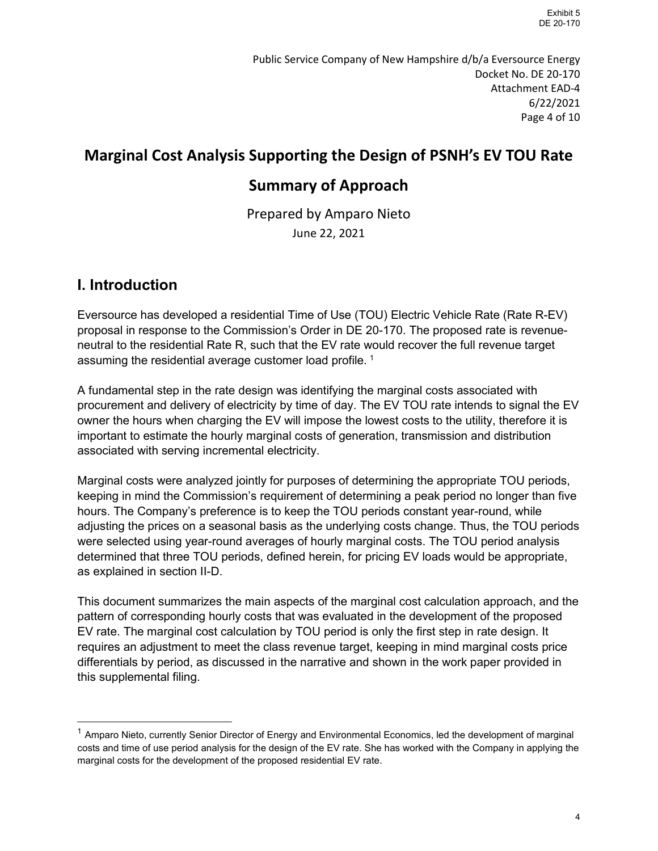Public Service Company of New Hampshire d/b/a Eversource Energy Docket No. DE 20-170 Attachment EAD-4 6/22/2021 Page 4 of 10

## **Marginal Cost Analysis Supporting the Design of PSNH's EV TOU Rate**

## **Summary of Approach**

Prepared by Amparo Nieto June 22, 2021

## **I. Introduction**

Eversource has developed a residential Time of Use (TOU) Electric Vehicle Rate (Rate R-EV) proposal in response to the Commission's Order in DE 20-170. The proposed rate is revenueneutral to the residential Rate R, such that the EV rate would recover the full revenue target assuming the residential average customer load profile.  $^{\rm 1}$  $^{\rm 1}$  $^{\rm 1}$ 

A fundamental step in the rate design was identifying the marginal costs associated with procurement and delivery of electricity by time of day. The EV TOU rate intends to signal the EV owner the hours when charging the EV will impose the lowest costs to the utility, therefore it is important to estimate the hourly marginal costs of generation, transmission and distribution associated with serving incremental electricity.

Marginal costs were analyzed jointly for purposes of determining the appropriate TOU periods, keeping in mind the Commission's requirement of determining a peak period no longer than five hours. The Company's preference is to keep the TOU periods constant year-round, while adjusting the prices on a seasonal basis as the underlying costs change. Thus, the TOU periods were selected using year-round averages of hourly marginal costs. The TOU period analysis determined that three TOU periods, defined herein, for pricing EV loads would be appropriate, as explained in section II-D.

This document summarizes the main aspects of the marginal cost calculation approach, and the pattern of corresponding hourly costs that was evaluated in the development of the proposed EV rate. The marginal cost calculation by TOU period is only the first step in rate design. It requires an adjustment to meet the class revenue target, keeping in mind marginal costs price differentials by period, as discussed in the narrative and shown in the work paper provided in this supplemental filing.

<span id="page-3-0"></span><sup>&</sup>lt;sup>1</sup> Amparo Nieto, currently Senior Director of Energy and Environmental Economics, led the development of marginal costs and time of use period analysis for the design of the EV rate. She has worked with the Company in applying the marginal costs for the development of the proposed residential EV rate.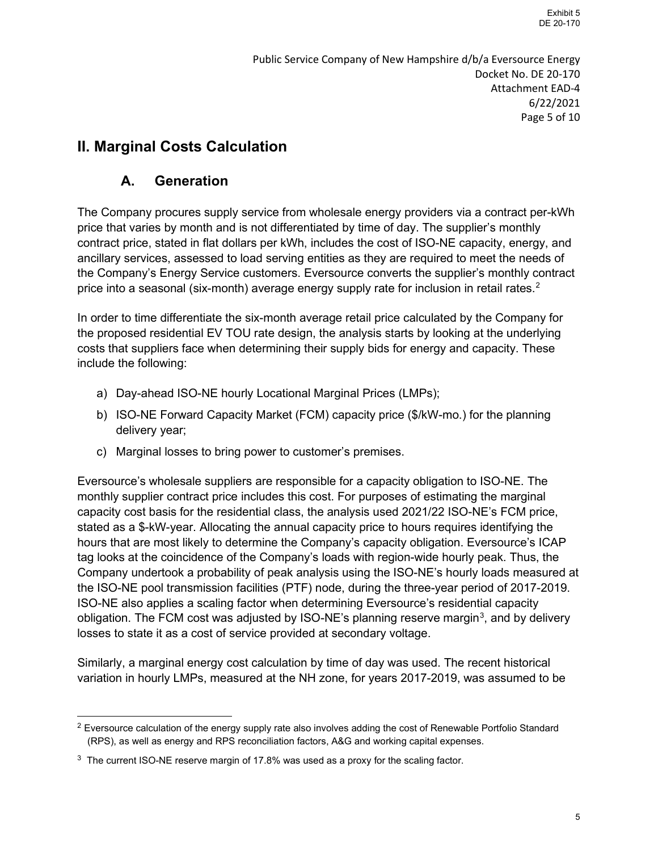# **II. Marginal Costs Calculation**

### **A. Generation**

The Company procures supply service from wholesale energy providers via a contract per-kWh price that varies by month and is not differentiated by time of day. The supplier's monthly contract price, stated in flat dollars per kWh, includes the cost of ISO-NE capacity, energy, and ancillary services, assessed to load serving entities as they are required to meet the needs of the Company's Energy Service customers. Eversource converts the supplier's monthly contract price into a seasonal (six-month) average energy supply rate for inclusion in retail rates. [2](#page-4-0)

In order to time differentiate the six-month average retail price calculated by the Company for the proposed residential EV TOU rate design, the analysis starts by looking at the underlying costs that suppliers face when determining their supply bids for energy and capacity. These include the following:

- a) Day-ahead ISO-NE hourly Locational Marginal Prices (LMPs);
- b) ISO-NE Forward Capacity Market (FCM) capacity price (\$/kW-mo.) for the planning delivery year;
- c) Marginal losses to bring power to customer's premises.

Eversource's wholesale suppliers are responsible for a capacity obligation to ISO-NE. The monthly supplier contract price includes this cost. For purposes of estimating the marginal capacity cost basis for the residential class, the analysis used 2021/22 ISO-NE's FCM price, stated as a \$-kW-year. Allocating the annual capacity price to hours requires identifying the hours that are most likely to determine the Company's capacity obligation. Eversource's ICAP tag looks at the coincidence of the Company's loads with region-wide hourly peak. Thus, the Company undertook a probability of peak analysis using the ISO-NE's hourly loads measured at the ISO-NE pool transmission facilities (PTF) node, during the three-year period of 2017-2019. ISO-NE also applies a scaling factor when determining Eversource's residential capacity obligation. The FCM cost was adjusted by ISO-NE's planning reserve margin $^3$  $^3$ , and by delivery losses to state it as a cost of service provided at secondary voltage.

Similarly, a marginal energy cost calculation by time of day was used. The recent historical variation in hourly LMPs, measured at the NH zone, for years 2017-2019, was assumed to be

<span id="page-4-0"></span> $2$  Eversource calculation of the energy supply rate also involves adding the cost of Renewable Portfolio Standard (RPS), as well as energy and RPS reconciliation factors, A&G and working capital expenses.

<span id="page-4-1"></span> $3$  The current ISO-NE reserve margin of 17.8% was used as a proxy for the scaling factor.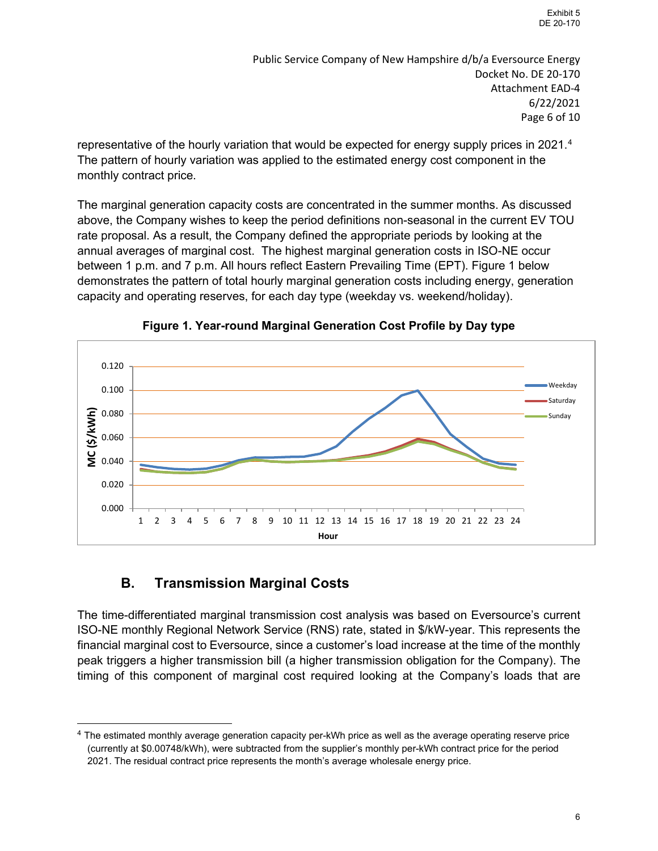Public Service Company of New Hampshire d/b/a Eversource Energy Docket No. DE 20-170 Attachment EAD-4 6/22/2021 Page 6 of 10

representative of the hourly variation that would be expected for energy supply prices in 2021. [4](#page-5-0) The pattern of hourly variation was applied to the estimated energy cost component in the monthly contract price.

The marginal generation capacity costs are concentrated in the summer months. As discussed above, the Company wishes to keep the period definitions non-seasonal in the current EV TOU rate proposal. As a result, the Company defined the appropriate periods by looking at the annual averages of marginal cost. The highest marginal generation costs in ISO-NE occur between 1 p.m. and 7 p.m. All hours reflect Eastern Prevailing Time (EPT). Figure 1 below demonstrates the pattern of total hourly marginal generation costs including energy, generation capacity and operating reserves, for each day type (weekday vs. weekend/holiday).



**Figure 1. Year-round Marginal Generation Cost Profile by Day type**

### **B. Transmission Marginal Costs**

The time-differentiated marginal transmission cost analysis was based on Eversource's current ISO-NE monthly Regional Network Service (RNS) rate, stated in \$/kW-year. This represents the financial marginal cost to Eversource, since a customer's load increase at the time of the monthly peak triggers a higher transmission bill (a higher transmission obligation for the Company). The timing of this component of marginal cost required looking at the Company's loads that are

<span id="page-5-0"></span><sup>4</sup> The estimated monthly average generation capacity per-kWh price as well as the average operating reserve price (currently at \$0.00748/kWh), were subtracted from the supplier's monthly per-kWh contract price for the period 2021. The residual contract price represents the month's average wholesale energy price.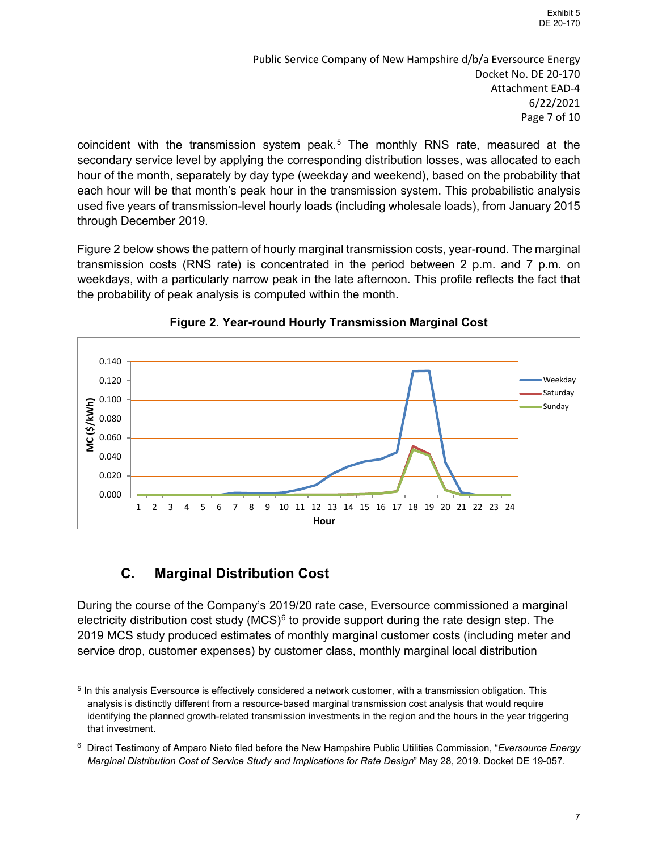Public Service Company of New Hampshire d/b/a Eversource Energy Docket No. DE 20-170 Attachment EAD-4 6/22/2021 Page 7 of 10

coincident with the transmission system peak. [5](#page-6-0) The monthly RNS rate, measured at the secondary service level by applying the corresponding distribution losses, was allocated to each hour of the month, separately by day type (weekday and weekend), based on the probability that each hour will be that month's peak hour in the transmission system. This probabilistic analysis used five years of transmission-level hourly loads (including wholesale loads), from January 2015 through December 2019.

Figure 2 below shows the pattern of hourly marginal transmission costs, year-round. The marginal transmission costs (RNS rate) is concentrated in the period between 2 p.m. and 7 p.m. on weekdays, with a particularly narrow peak in the late afternoon. This profile reflects the fact that the probability of peak analysis is computed within the month.





## **C. Marginal Distribution Cost**

During the course of the Company's 2019/20 rate case, Eversource commissioned a marginal electricity distribution cost study  $(MCS)^6$  $(MCS)^6$  to provide support during the rate design step. The 2019 MCS study produced estimates of monthly marginal customer costs (including meter and service drop, customer expenses) by customer class, monthly marginal local distribution

<span id="page-6-0"></span> $5$  In this analysis Eversource is effectively considered a network customer, with a transmission obligation. This analysis is distinctly different from a resource-based marginal transmission cost analysis that would require identifying the planned growth-related transmission investments in the region and the hours in the year triggering that investment.

<span id="page-6-1"></span><sup>6</sup> Direct Testimony of Amparo Nieto filed before the New Hampshire Public Utilities Commission, "*Eversource Energy Marginal Distribution Cost of Service Study and Implications for Rate Design*" May 28, 2019. Docket DE 19-057.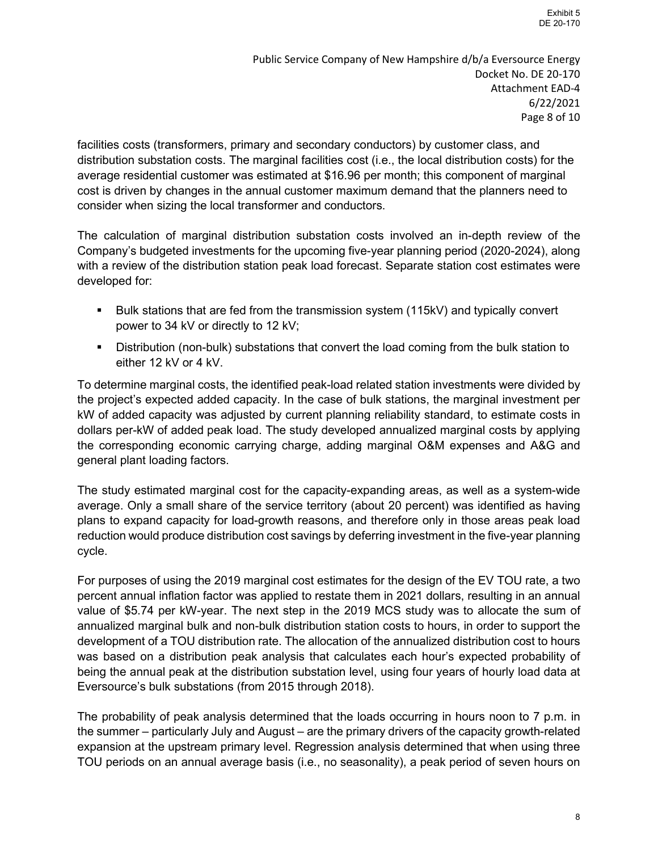Public Service Company of New Hampshire d/b/a Eversource Energy Docket No. DE 20-170 Attachment EAD-4 6/22/2021 Page 8 of 10

facilities costs (transformers, primary and secondary conductors) by customer class, and distribution substation costs. The marginal facilities cost (i.e., the local distribution costs) for the average residential customer was estimated at \$16.96 per month; this component of marginal cost is driven by changes in the annual customer maximum demand that the planners need to consider when sizing the local transformer and conductors.

The calculation of marginal distribution substation costs involved an in-depth review of the Company's budgeted investments for the upcoming five-year planning period (2020-2024), along with a review of the distribution station peak load forecast. Separate station cost estimates were developed for:

- Bulk stations that are fed from the transmission system (115kV) and typically convert power to 34 kV or directly to 12 kV;
- **Distribution (non-bulk) substations that convert the load coming from the bulk station to** either 12 kV or 4 kV.

To determine marginal costs, the identified peak-load related station investments were divided by the project's expected added capacity. In the case of bulk stations, the marginal investment per kW of added capacity was adjusted by current planning reliability standard, to estimate costs in dollars per-kW of added peak load. The study developed annualized marginal costs by applying the corresponding economic carrying charge, adding marginal O&M expenses and A&G and general plant loading factors.

The study estimated marginal cost for the capacity-expanding areas, as well as a system-wide average. Only a small share of the service territory (about 20 percent) was identified as having plans to expand capacity for load-growth reasons, and therefore only in those areas peak load reduction would produce distribution cost savings by deferring investment in the five-year planning cycle.

For purposes of using the 2019 marginal cost estimates for the design of the EV TOU rate, a two percent annual inflation factor was applied to restate them in 2021 dollars, resulting in an annual value of \$5.74 per kW-year. The next step in the 2019 MCS study was to allocate the sum of annualized marginal bulk and non-bulk distribution station costs to hours, in order to support the development of a TOU distribution rate. The allocation of the annualized distribution cost to hours was based on a distribution peak analysis that calculates each hour's expected probability of being the annual peak at the distribution substation level, using four years of hourly load data at Eversource's bulk substations (from 2015 through 2018).

The probability of peak analysis determined that the loads occurring in hours noon to 7 p.m. in the summer – particularly July and August – are the primary drivers of the capacity growth-related expansion at the upstream primary level. Regression analysis determined that when using three TOU periods on an annual average basis (i.e., no seasonality), a peak period of seven hours on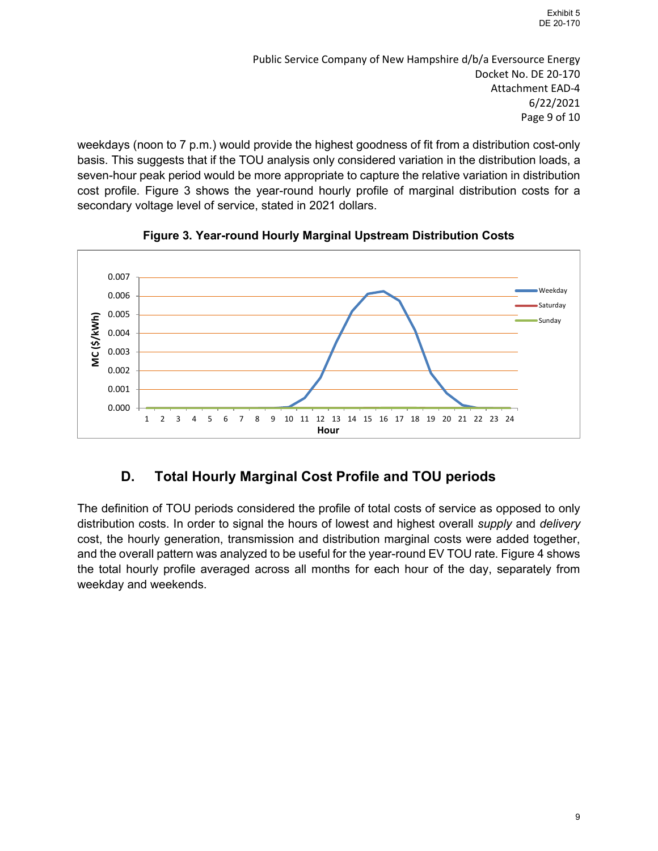Public Service Company of New Hampshire d/b/a Eversource Energy Docket No. DE 20-170 Attachment EAD-4 6/22/2021 Page 9 of 10

weekdays (noon to 7 p.m.) would provide the highest goodness of fit from a distribution cost-only basis. This suggests that if the TOU analysis only considered variation in the distribution loads, a seven-hour peak period would be more appropriate to capture the relative variation in distribution cost profile. Figure 3 shows the year-round hourly profile of marginal distribution costs for a secondary voltage level of service, stated in 2021 dollars.



**Figure 3. Year-round Hourly Marginal Upstream Distribution Costs**

## **D. Total Hourly Marginal Cost Profile and TOU periods**

The definition of TOU periods considered the profile of total costs of service as opposed to only distribution costs. In order to signal the hours of lowest and highest overall *supply* and *delivery* cost, the hourly generation, transmission and distribution marginal costs were added together, and the overall pattern was analyzed to be useful for the year-round EV TOU rate. Figure 4 shows the total hourly profile averaged across all months for each hour of the day, separately from weekday and weekends.